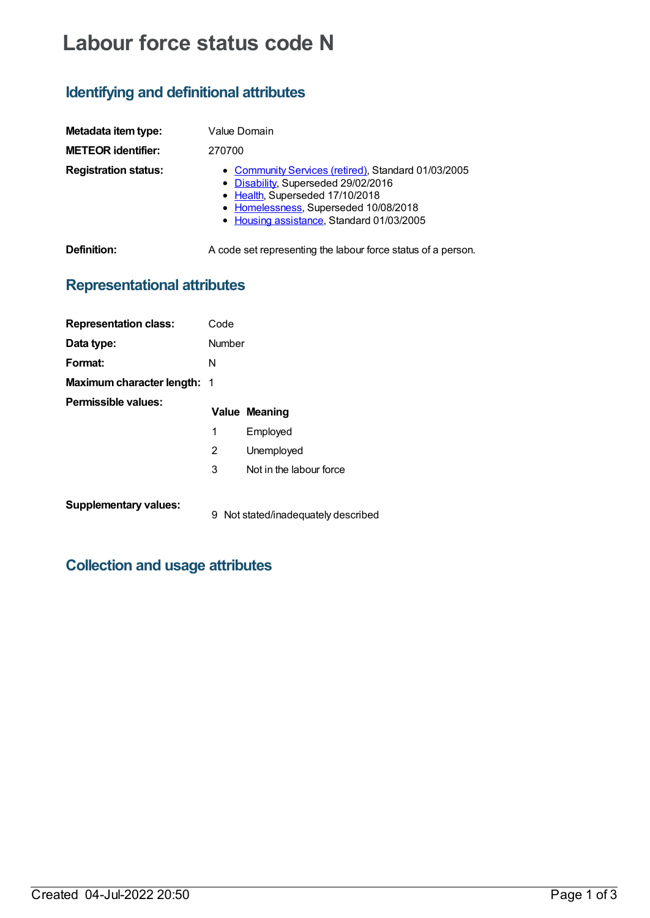# **Labour force status code N**

# **Identifying and definitional attributes**

| Metadata item type:<br><b>METEOR identifier:</b> | Value Domain<br>270700                                                                                                                                                                                              |
|--------------------------------------------------|---------------------------------------------------------------------------------------------------------------------------------------------------------------------------------------------------------------------|
| <b>Registration status:</b>                      | • Community Services (retired), Standard 01/03/2005<br>• Disability, Superseded 29/02/2016<br>• Health, Superseded 17/10/2018<br>• Homelessness, Superseded 10/08/2018<br>• Housing assistance, Standard 01/03/2005 |
| Definition:                                      | A code set representing the labour force status of a person.                                                                                                                                                        |

# **Representational attributes**

| <b>Representation class:</b>       | Code   |                                   |
|------------------------------------|--------|-----------------------------------|
| Data type:                         | Number |                                   |
| Format:                            | N      |                                   |
| <b>Maximum character length: 1</b> |        |                                   |
| Permissible values:                |        | <b>Value Meaning</b>              |
|                                    | 1      | Employed                          |
|                                    | 2      | Unemployed                        |
|                                    | 3      | Not in the labour force           |
| <b>Supplementary values:</b>       | 9      | Not stated/inadequately described |

### **Collection and usage attributes**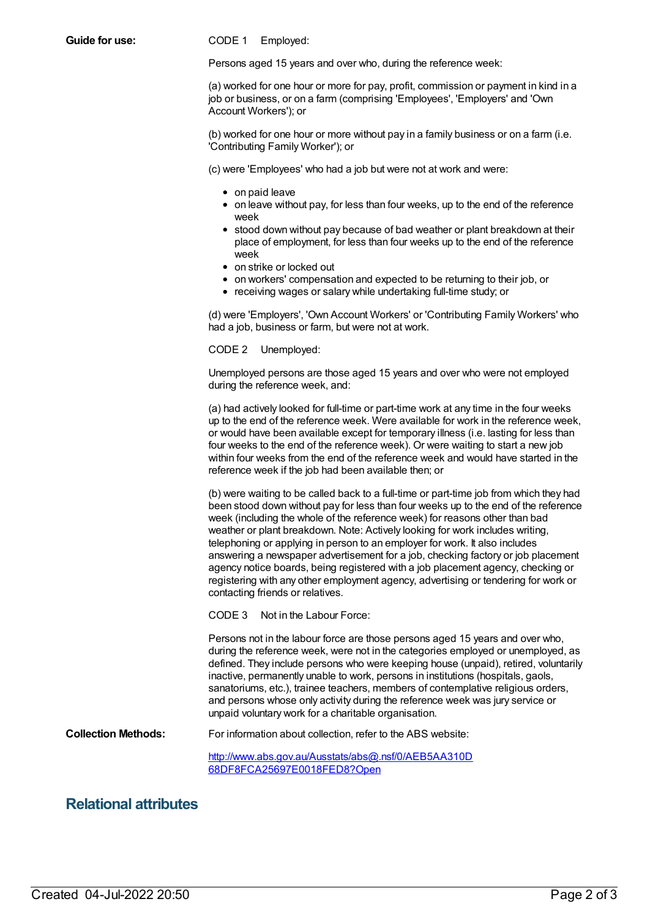**Guide for use:** CODE 1 Employed:

Persons aged 15 years and over who, during the reference week:

(a) worked for one hour or more for pay, profit, commission or payment in kind in a job or business, or on a farm (comprising 'Employees', 'Employers' and 'Own Account Workers'); or

(b) worked for one hour or more without pay in a family business or on a farm (i.e. 'Contributing Family Worker'); or

(c) were 'Employees' who had a job but were not at work and were:

- on paid leave
- $\bullet$  on leave without pay, for less than four weeks, up to the end of the reference week
- stood down without pay because of bad weather or plant breakdown at their place of employment, for less than four weeks up to the end of the reference week
- on strike or locked out
- on workers' compensation and expected to be returning to their job, or
- receiving wages or salary while undertaking full-time study; or

(d) were 'Employers', 'Own Account Workers' or 'Contributing Family Workers' who had a job, business or farm, but were not at work.

CODE 2 Unemployed:

Unemployed persons are those aged 15 years and over who were not employed during the reference week, and:

(a) had actively looked for full-time or part-time work at any time in the four weeks up to the end of the reference week. Were available for work in the reference week, or would have been available except for temporary illness (i.e. lasting for less than four weeks to the end of the reference week). Or were waiting to start a new job within four weeks from the end of the reference week and would have started in the reference week if the job had been available then; or

(b) were waiting to be called back to a full-time or part-time job from which they had been stood down without pay for less than four weeks up to the end of the reference week (including the whole of the reference week) for reasons other than bad weather or plant breakdown. Note: Actively looking for work includes writing, telephoning or applying in person to an employer for work. It also includes answering a newspaper advertisement for a job, checking factory or job placement agency notice boards, being registered with a job placement agency, checking or registering with any other employment agency, advertising or tendering for work or contacting friends or relatives.

CODE 3 Not in the Labour Force:

Persons not in the labour force are those persons aged 15 years and over who, during the reference week, were not in the categories employed or unemployed, as defined. They include persons who were keeping house (unpaid), retired, voluntarily inactive, permanently unable to work, persons in institutions (hospitals, gaols, sanatoriums, etc.), trainee teachers, members of contemplative religious orders, and persons whose only activity during the reference week was jury service or unpaid voluntary work for a charitable organisation.

**Collection Methods:** For information about collection, refer to the ABS website:

[http://www.abs.gov.au/Ausstats/abs@.nsf/0/AEB5AA310D](http://www.abs.gov.au/Ausstats/abs@.nsf/0/AEB5AA310D68DF8FCA25697E0018FED8?Open) 68DF8FCA25697E0018FED8?Open

#### **Relational attributes**